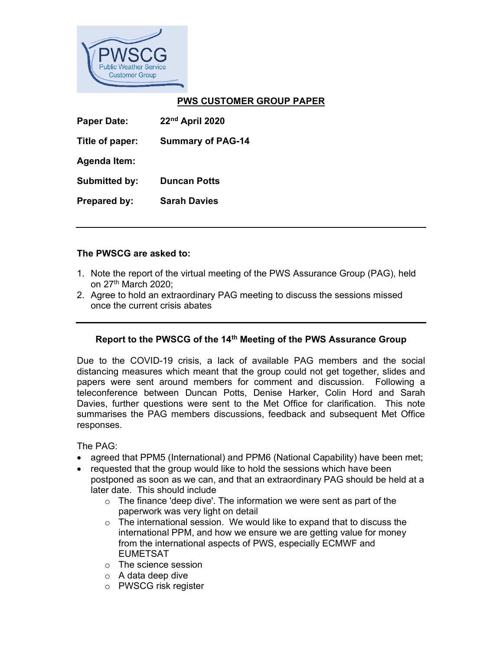

## PWS CUSTOMER GROUP PAPER

| <b>Paper Date:</b>   | 22nd April 2020          |
|----------------------|--------------------------|
| Title of paper:      | <b>Summary of PAG-14</b> |
| <b>Agenda Item:</b>  |                          |
| <b>Submitted by:</b> | <b>Duncan Potts</b>      |
| Prepared by:         | <b>Sarah Davies</b>      |

## The PWSCG are asked to:

- 1. Note the report of the virtual meeting of the PWS Assurance Group (PAG), held on 27th March 2020;
- 2. Agree to hold an extraordinary PAG meeting to discuss the sessions missed once the current crisis abates

## Report to the PWSCG of the 14<sup>th</sup> Meeting of the PWS Assurance Group

Due to the COVID-19 crisis, a lack of available PAG members and the social distancing measures which meant that the group could not get together, slides and papers were sent around members for comment and discussion. Following a teleconference between Duncan Potts, Denise Harker, Colin Hord and Sarah Davies, further questions were sent to the Met Office for clarification. This note summarises the PAG members discussions, feedback and subsequent Met Office responses.

The PAG:

- agreed that PPM5 (International) and PPM6 (National Capability) have been met;
- requested that the group would like to hold the sessions which have been postponed as soon as we can, and that an extraordinary PAG should be held at a later date. This should include
	- $\circ$  The finance 'deep dive'. The information we were sent as part of the paperwork was very light on detail
	- $\circ$  The international session. We would like to expand that to discuss the international PPM, and how we ensure we are getting value for money from the international aspects of PWS, especially ECMWF and EUMETSAT
	- o The science session
	- $\circ$  A data deep dive
	- o PWSCG risk register